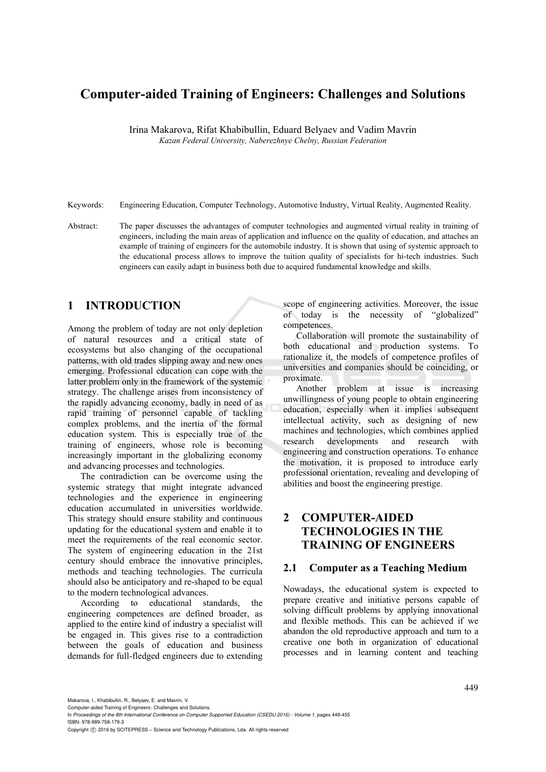# **Computer-aided Training of Engineers: Challenges and Solutions**

Irina Makarova, Rifat Khabibullin, Eduard Belyaev and Vadim Mavrin *Kazan Federal University, Naberezhnye Chelny, Russian Federation* 

Keywords: Engineering Education, Computer Technology, Automotive Industry, Virtual Reality, Augmented Reality.

Abstract: The paper discusses the advantages of computer technologies and augmented virtual reality in training of engineers, including the main areas of application and influence on the quality of education, and attaches an example of training of engineers for the automobile industry. It is shown that using of systemic approach to the educational process allows to improve the tuition quality of specialists for hi-tech industries. Such engineers can easily adapt in business both due to acquired fundamental knowledge and skills.

#### **1 INTRODUCTION**

Among the problem of today are not only depletion of natural resources and a critical state of ecosystems but also changing of the occupational patterns, with old trades slipping away and new ones emerging. Professional education can cope with the latter problem only in the framework of the systemic strategy. The challenge arises from inconsistency of the rapidly advancing economy, badly in need of as rapid training of personnel capable of tackling complex problems, and the inertia of the formal education system. This is especially true of the training of engineers, whose role is becoming increasingly important in the globalizing economy and advancing processes and technologies.

The contradiction can be overcome using the systemic strategy that might integrate advanced technologies and the experience in engineering education accumulated in universities worldwide. This strategy should ensure stability and continuous updating for the educational system and enable it to meet the requirements of the real economic sector. The system of engineering education in the 21st century should embrace the innovative principles, methods and teaching technologies. The curricula should also be anticipatory and re-shaped to be equal to the modern technological advances.

According to educational standards, the engineering competences are defined broader, as applied to the entire kind of industry a specialist will be engaged in. This gives rise to a contradiction between the goals of education and business demands for full-fledged engineers due to extending scope of engineering activities. Moreover, the issue of today is the necessity of "globalized" competences.

Collaboration will promote the sustainability of both educational and production systems. To rationalize it, the models of competence profiles of universities and companies should be coinciding, or proximate.

Another problem at issue is increasing unwillingness of young people to obtain engineering education, especially when it implies subsequent intellectual activity, such as designing of new machines and technologies, which combines applied research developments and research with engineering and construction operations. To enhance the motivation, it is proposed to introduce early professional orientation, revealing and developing of abilities and boost the engineering prestige.

## **2 COMPUTER-AIDED TECHNOLOGIES IN THE TRAINING OF ENGINEERS**

#### **2.1 Computer as a Teaching Medium**

Nowadays, the educational system is expected to prepare creative and initiative persons capable of solving difficult problems by applying innovational and flexible methods. This can be achieved if we abandon the old reproductive approach and turn to a creative one both in organization of educational processes and in learning content and teaching

Makarova, I., Khabibullin, R., Belyaev, E. and Mayrin, V.

Copyright (C) 2016 by SCITEPRESS - Science and Technology Publications, Lda. All rights reserved

Computer-aided Training of Engineers: Challenges and Solutions.

In *Proceedings of the 8th International Conference on Computer Supported Education (CSEDU 2016) - Volume 1*, pages 449-455 ISBN: 978-989-758-179-3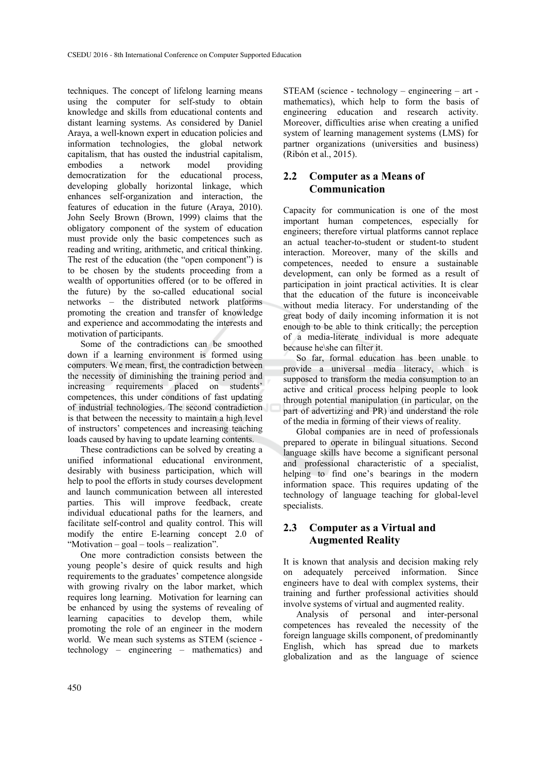techniques. The concept of lifelong learning means using the computer for self-study to obtain knowledge and skills from educational contents and distant learning systems. As considered by Daniel Araya, a well-known expert in education policies and information technologies, the global network capitalism, that has ousted the industrial capitalism, embodies a network model providing democratization for the educational process, developing globally horizontal linkage, which enhances self-organization and interaction, the features of education in the future (Araya, 2010). John Seely Brown (Brown, 1999) claims that the obligatory component of the system of education must provide only the basic competences such as reading and writing, arithmetic, and critical thinking. The rest of the education (the "open component") is to be chosen by the students proceeding from a wealth of opportunities offered (or to be offered in the future) by the so-called educational social networks – the distributed network platforms promoting the creation and transfer of knowledge and experience and accommodating the interests and motivation of participants.

Some of the contradictions can be smoothed down if a learning environment is formed using computers. We mean, first, the contradiction between the necessity of diminishing the training period and increasing requirements placed on students' competences, this under conditions of fast updating of industrial technologies. The second contradiction is that between the necessity to maintain a high level of instructors' competences and increasing teaching loads caused by having to update learning contents.

These contradictions can be solved by creating a unified informational educational environment, desirably with business participation, which will help to pool the efforts in study courses development and launch communication between all interested parties. This will improve feedback, create individual educational paths for the learners, and facilitate self-control and quality control. This will modify the entire E-learning concept 2.0 of "Motivation – goal – tools – realization".

One more contradiction consists between the young people's desire of quick results and high requirements to the graduates' competence alongside with growing rivalry on the labor market, which requires long learning. Motivation for learning can be enhanced by using the systems of revealing of learning capacities to develop them, while promoting the role of an engineer in the modern world. We mean such systems as STEM (science technology – engineering – mathematics) and

STEAM (science - technology – engineering – art mathematics), which help to form the basis of engineering education and research activity. Moreover, difficulties arise when creating a unified system of learning management systems (LMS) for partner organizations (universities and business) (Ribón et al., 2015).

#### **2.2 Computer as a Means of Communication**

Capacity for communication is one of the most important human competences, especially for engineers; therefore virtual platforms cannot replace an actual teacher-to-student or student-to student interaction. Moreover, many of the skills and competences, needed to ensure a sustainable development, can only be formed as a result of participation in joint practical activities. It is clear that the education of the future is inconceivable without media literacy. For understanding of the great body of daily incoming information it is not enough to be able to think critically; the perception of a media-literate individual is more adequate because he\she can filter it.

So far, formal education has been unable to provide a universal media literacy, which is supposed to transform the media consumption to an active and critical process helping people to look through potential manipulation (in particular, on the part of advertizing and PR) and understand the role of the media in forming of their views of reality.

Global companies are in need of professionals prepared to operate in bilingual situations. Second language skills have become a significant personal and professional characteristic of a specialist, helping to find one's bearings in the modern information space. This requires updating of the technology of language teaching for global-level specialists.

### **2.3 Computer as a Virtual and Augmented Reality**

It is known that analysis and decision making rely on adequately perceived information. Since engineers have to deal with complex systems, their training and further professional activities should involve systems of virtual and augmented reality.

Analysis of personal and inter-personal competences has revealed the necessity of the foreign language skills component, of predominantly English, which has spread due to markets globalization and as the language of science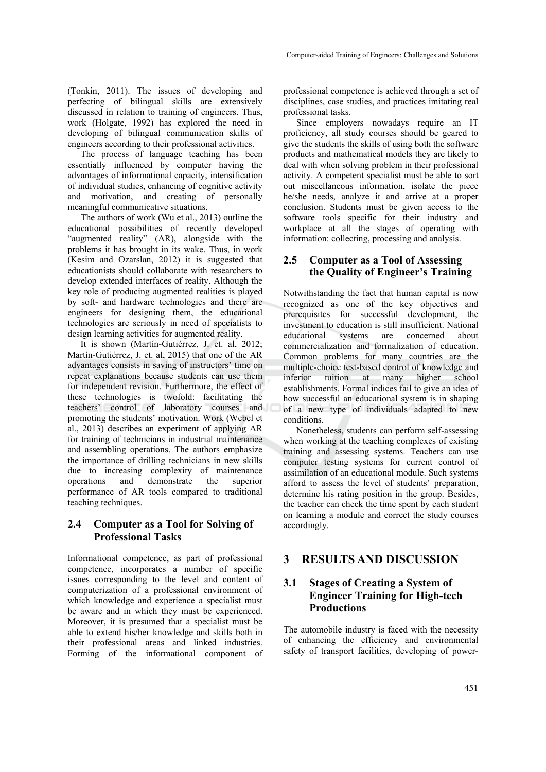(Tonkin, 2011). The issues of developing and perfecting of bilingual skills are extensively discussed in relation to training of engineers. Thus, work (Holgate, 1992) has explored the need in developing of bilingual communication skills of engineers according to their professional activities.

The process of language teaching has been essentially influenced by computer having the advantages of informational capacity, intensification of individual studies, enhancing of cognitive activity and motivation, and creating of personally meaningful communicative situations.

The authors of work (Wu et al., 2013) outline the educational possibilities of recently developed "augmented reality" (AR), alongside with the problems it has brought in its wake. Thus, in work (Kesim and Ozarslan, 2012) it is suggested that educationists should collaborate with researchers to develop extended interfaces of reality. Although the key role of producing augmented realities is played by soft- and hardware technologies and there are engineers for designing them, the educational technologies are seriously in need of specialists to design learning activities for augmented reality.

It is shown (Martín-Gutiérrez, J. et. al, 2012; Martín-Gutiérrez, J. et. al, 2015) that one of the AR advantages consists in saving of instructors' time on repeat explanations because students can use them for independent revision. Furthermore, the effect of these technologies is twofold: facilitating the teachers' control of laboratory courses and promoting the students' motivation. Work (Webel et al., 2013) describes an experiment of applying AR for training of technicians in industrial maintenance and assembling operations. The authors emphasize the importance of drilling technicians in new skills due to increasing complexity of maintenance operations and demonstrate the superior performance of AR tools compared to traditional teaching techniques.

#### **2.4 Computer as a Tool for Solving of Professional Tasks**

Informational competence, as part of professional competence, incorporates a number of specific issues corresponding to the level and content of computerization of a professional environment of which knowledge and experience a specialist must be aware and in which they must be experienced. Moreover, it is presumed that a specialist must be able to extend his/her knowledge and skills both in their professional areas and linked industries. Forming of the informational component of

professional competence is achieved through a set of disciplines, case studies, and practices imitating real professional tasks.

Since employers nowadays require an IT proficiency, all study courses should be geared to give the students the skills of using both the software products and mathematical models they are likely to deal with when solving problem in their professional activity. A competent specialist must be able to sort out miscellaneous information, isolate the piece he/she needs, analyze it and arrive at a proper conclusion. Students must be given access to the software tools specific for their industry and workplace at all the stages of operating with information: collecting, processing and analysis.

#### **2.5 Computer as a Tool of Assessing the Quality of Engineer's Training**

Notwithstanding the fact that human capital is now recognized as one of the key objectives and prerequisites for successful development, the investment to education is still insufficient. National educational systems are concerned about commercialization and formalization of education. Common problems for many countries are the multiple-choice test-based control of knowledge and inferior tuition at many higher school establishments. Formal indices fail to give an idea of how successful an educational system is in shaping of a new type of individuals adapted to new conditions.

Nonetheless, students can perform self-assessing when working at the teaching complexes of existing training and assessing systems. Teachers can use computer testing systems for current control of assimilation of an educational module. Such systems afford to assess the level of students' preparation, determine his rating position in the group. Besides, the teacher can check the time spent by each student on learning a module and correct the study courses accordingly.

### **3 RESULTS AND DISCUSSION**

#### **3.1 Stages of Creating a System of Engineer Training for High-tech Productions**

The automobile industry is faced with the necessity of enhancing the efficiency and environmental safety of transport facilities, developing of power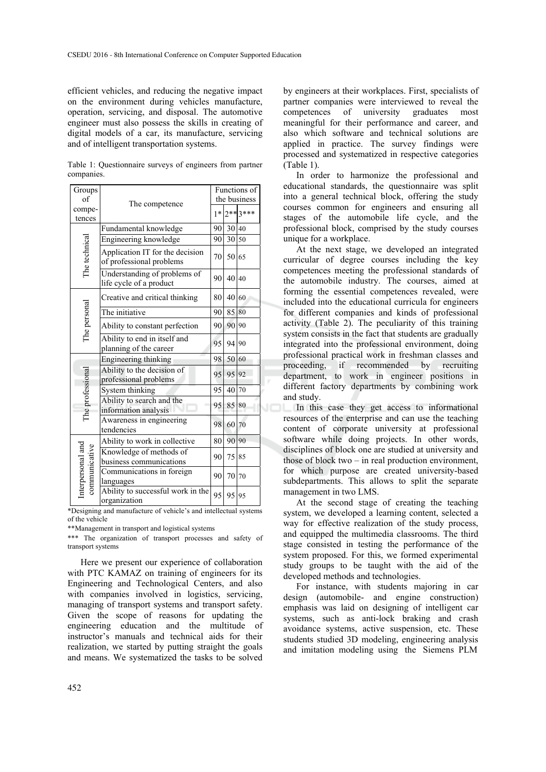efficient vehicles, and reducing the negative impact on the environment during vehicles manufacture, operation, servicing, and disposal. The automotive engineer must also possess the skills in creating of digital models of a car, its manufacture, servicing and of intelligent transportation systems.

Table 1: Questionnaire surveys of engineers from partner companies.

| Groups<br>of                      | The competence                                              |    | Functions of<br>the business |            |  |
|-----------------------------------|-------------------------------------------------------------|----|------------------------------|------------|--|
| compe-<br>tences                  |                                                             |    | $1*$                         | $2***3***$ |  |
| The technical                     | Fundamental knowledge                                       | 90 | 30 40                        |            |  |
|                                   | Engineering knowledge                                       | 90 | 30                           | 50         |  |
|                                   | Application IT for the decision<br>of professional problems | 70 | 50 65                        |            |  |
|                                   | Understanding of problems of<br>life cycle of a product     | 90 | 40                           | 40         |  |
| The personal                      | Creative and critical thinking                              | 80 | 40 60                        |            |  |
|                                   | The initiative                                              | 90 | 85 80                        |            |  |
|                                   | Ability to constant perfection                              | 90 | 90                           | 90         |  |
|                                   | Ability to end in itself and<br>planning of the career      | 95 | 94                           | 90         |  |
| The professional                  | Engineering thinking                                        | 98 | 50                           | 60         |  |
|                                   | Ability to the decision of<br>professional problems         | 95 | 95                           | 92         |  |
|                                   | System thinking                                             | 95 | 40                           | 70         |  |
|                                   | Ability to search and the<br>information analysis           | 95 | 85                           | 80         |  |
|                                   | Awareness in engineering<br>tendencies                      | 98 | 60                           | 70         |  |
| nterpersonal and<br>communicative | Ability to work in collective                               | 80 | 90 90                        |            |  |
|                                   | Knowledge of methods of<br>business communications          | 90 | 75                           | 85         |  |
|                                   | Communications in foreign<br>languages                      | 90 | 70                           | 70         |  |
|                                   | Ability to successful work in the<br>organization           | 95 | 95                           | 95         |  |

\*Designing and manufacture of vehicle's and intellectual systems of the vehicle

\*\*Management in transport and logistical systems

\*\*\* The organization of transport processes and safety of transport systems

Here we present our experience of collaboration with PTC KAMAZ on training of engineers for its Engineering and Technological Centers, and also with companies involved in logistics, servicing, managing of transport systems and transport safety. Given the scope of reasons for updating the engineering education and the multitude of instructor's manuals and technical aids for their realization, we started by putting straight the goals and means. We systematized the tasks to be solved

by engineers at their workplaces. First, specialists of partner companies were interviewed to reveal the competences of university graduates most meaningful for their performance and career, and also which software and technical solutions are applied in practice. The survey findings were processed and systematized in respective categories (Table 1).

In order to harmonize the professional and educational standards, the questionnaire was split into a general technical block, offering the study courses common for engineers and ensuring all stages of the automobile life cycle, and the professional block, comprised by the study courses unique for a workplace.

At the next stage, we developed an integrated curricular of degree courses including the key competences meeting the professional standards of the automobile industry. The courses, aimed at forming the essential competences revealed, were included into the educational curricula for engineers for different companies and kinds of professional activity (Table 2). The peculiarity of this training system consists in the fact that students are gradually integrated into the professional environment, doing professional practical work in freshman classes and proceeding, if recommended by recruiting department, to work in engineer positions in different factory departments by combining work and study.

In this case they get access to informational resources of the enterprise and can use the teaching content of corporate university at professional software while doing projects. In other words, disciplines of block one are studied at university and those of block two – in real production environment, for which purpose are created university-based subdepartments. This allows to split the separate management in two LMS.

At the second stage of creating the teaching system, we developed a learning content, selected a way for effective realization of the study process, and equipped the multimedia classrooms. The third stage consisted in testing the performance of the system proposed. For this, we formed experimental study groups to be taught with the aid of the developed methods and technologies.

For instance, with students majoring in car design (automobile- and engine construction) emphasis was laid on designing of intelligent car systems, such as anti-lock braking and crash avoidance systems, active suspension, etc. These students studied 3D modeling, engineering analysis and imitation modeling using the Siemens PLM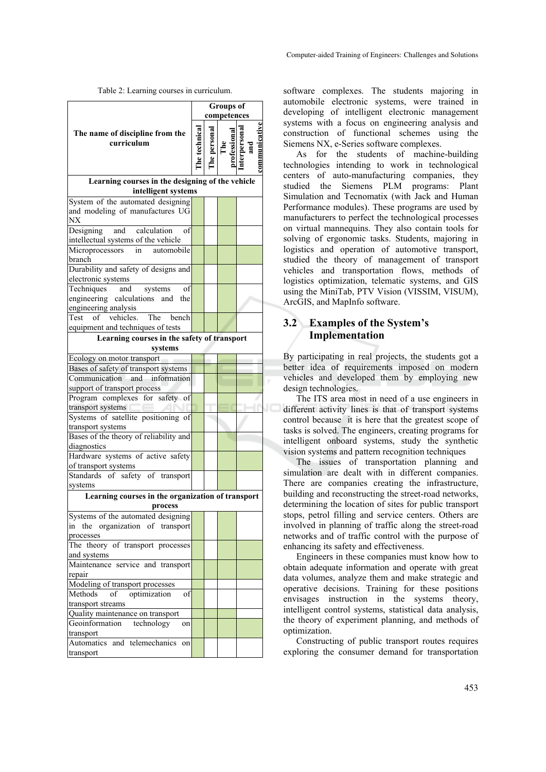Table 2: Learning courses in curriculum.

|                                                                                                   | <b>Groups</b> of<br>competences |           |           |     |  |  |  |
|---------------------------------------------------------------------------------------------------|---------------------------------|-----------|-----------|-----|--|--|--|
| The name of discipline from the<br>curriculum                                                     |                                 | e persona | $\rm The$ | and |  |  |  |
| Learning courses in the designing of the vehicle<br>intelligent systems                           |                                 |           |           |     |  |  |  |
| System of the automated designing                                                                 |                                 |           |           |     |  |  |  |
| and modeling of manufactures UG<br>NX                                                             |                                 |           |           |     |  |  |  |
| calculation<br>Designing<br>and<br>of<br>intellectual systems of the vehicle                      |                                 |           |           |     |  |  |  |
| Microprocessors<br>automobile<br>in<br>branch                                                     |                                 |           |           |     |  |  |  |
| Durability and safety of designs and<br>electronic systems                                        |                                 |           |           |     |  |  |  |
| Techniques<br>and<br>systems<br>οf<br>engineering calculations<br>and the<br>engineering analysis |                                 |           |           |     |  |  |  |
| vehicles<br>Test of<br>The<br>bench<br>equipment and techniques of tests                          |                                 |           |           |     |  |  |  |
| Learning courses in the safety of transport                                                       |                                 |           |           |     |  |  |  |
| systems                                                                                           |                                 |           |           |     |  |  |  |
| Ecology on motor transport                                                                        |                                 |           |           |     |  |  |  |
| Bases of safety of transport systems                                                              |                                 |           |           |     |  |  |  |
| Communication<br>and<br>information<br>support of transport process                               |                                 |           |           |     |  |  |  |
| Program complexes for safety<br>οf                                                                |                                 |           |           |     |  |  |  |
| transport systems<br>Systems of satellite positioning of                                          |                                 |           |           |     |  |  |  |
| transport systems                                                                                 |                                 |           |           |     |  |  |  |
| Bases of the theory of reliability and                                                            |                                 |           |           |     |  |  |  |
| diagnostics                                                                                       |                                 |           |           |     |  |  |  |
| Hardware systems of active safety<br>of transport systems                                         |                                 |           |           |     |  |  |  |
| Standards of safety of transport                                                                  |                                 |           |           |     |  |  |  |
| systems                                                                                           |                                 |           |           |     |  |  |  |
| Learning courses in the organization of transport<br>process                                      |                                 |           |           |     |  |  |  |
| Systems of the automated designing                                                                |                                 |           |           |     |  |  |  |
| organization of transport<br>in the                                                               |                                 |           |           |     |  |  |  |
| processes                                                                                         |                                 |           |           |     |  |  |  |
| The theory of transport processes<br>and systems                                                  |                                 |           |           |     |  |  |  |
| Maintenance service and transport                                                                 |                                 |           |           |     |  |  |  |
| repair                                                                                            |                                 |           |           |     |  |  |  |
| Modeling of transport processes                                                                   |                                 |           |           |     |  |  |  |
| optimization<br>Methods<br>of<br>οf<br>transport streams                                          |                                 |           |           |     |  |  |  |
| Quality maintenance on transport                                                                  |                                 |           |           |     |  |  |  |
| Geoinformation technology<br>on                                                                   |                                 |           |           |     |  |  |  |
| transport<br>Automatics and telemechanics                                                         |                                 |           |           |     |  |  |  |
| on<br>transport                                                                                   |                                 |           |           |     |  |  |  |

software complexes. The students majoring in automobile electronic systems, were trained in developing of intelligent electronic management systems with a focus on engineering analysis and construction of functional schemes using the Siemens NX, e-Series software complexes.

As for the students of machine-building technologies intending to work in technological centers of auto-manufacturing companies, they studied the Siemens PLM programs: Plant Simulation and Tecnomatix (with Jack and Human Performance modules). These programs are used by manufacturers to perfect the technological processes on virtual mannequins. They also contain tools for solving of ergonomic tasks. Students, majoring in logistics and operation of automotive transport, studied the theory of management of transport vehicles and transportation flows, methods of logistics optimization, telematic systems, and GIS using the MiniTab, PTV Vision (VISSIM, VISUM), ArcGIS, and MapInfo software.

#### **3.2 Examples of the System's Implementation**

By participating in real projects, the students got a better idea of requirements imposed on modern vehicles and developed them by employing new design technologies.

The ITS area most in need of a use engineers in different activity lines is that of transport systems control because it is here that the greatest scope of tasks is solved. The engineers, creating programs for intelligent onboard systems, study the synthetic vision systems and pattern recognition techniques

The issues of transportation planning and simulation are dealt with in different companies. There are companies creating the infrastructure, building and reconstructing the street-road networks, determining the location of sites for public transport stops, petrol filling and service centers. Others are involved in planning of traffic along the street-road networks and of traffic control with the purpose of enhancing its safety and effectiveness.

Engineers in these companies must know how to obtain adequate information and operate with great data volumes, analyze them and make strategic and operative decisions. Training for these positions envisages instruction in the systems theory, intelligent control systems, statistical data analysis, the theory of experiment planning, and methods of optimization.

Constructing of public transport routes requires exploring the consumer demand for transportation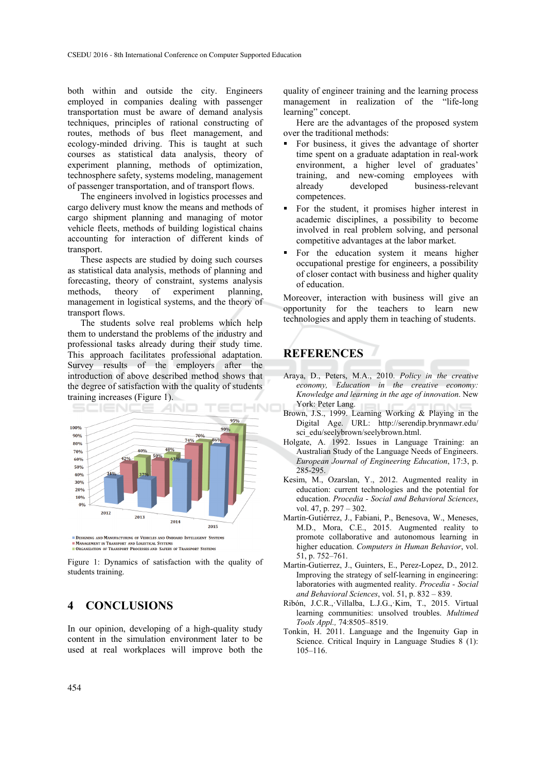both within and outside the city. Engineers employed in companies dealing with passenger transportation must be aware of demand analysis techniques, principles of rational constructing of routes, methods of bus fleet management, and ecology-minded driving. This is taught at such courses as statistical data analysis, theory of experiment planning, methods of optimization, technosphere safety, systems modeling, management of passenger transportation, and of transport flows.

The engineers involved in logistics processes and cargo delivery must know the means and methods of cargo shipment planning and managing of motor vehicle fleets, methods of building logistical chains accounting for interaction of different kinds of transport.

These aspects are studied by doing such courses as statistical data analysis, methods of planning and forecasting, theory of constraint, systems analysis<br>methods, theory of experiment planning. methods, theory of experiment management in logistical systems, and the theory of transport flows.

The students solve real problems which help them to understand the problems of the industry and professional tasks already during their study time. This approach facilitates professional adaptation. Survey results of the employers after the introduction of above described method shows that the degree of satisfaction with the quality of students training increases (Figure 1).



MANAGEMENT IN TRANSPORT AND LOGISTICAL SYSTEMS<br>NORGANIZATION OF TRANSPORT PROCESSES AND SAFERY OF TRANSPORT SYSTEMS

Figure 1: Dynamics of satisfaction with the quality of students training.

#### **4 CONCLUSIONS**

In our opinion, developing of a high-quality study content in the simulation environment later to be used at real workplaces will improve both the quality of engineer training and the learning process management in realization of the "life-long learning" concept.

Here are the advantages of the proposed system over the traditional methods:

- For business, it gives the advantage of shorter time spent on a graduate adaptation in real-work environment, a higher level of graduates' training, and new-coming employees with already developed business-relevant competences.
- For the student, it promises higher interest in academic disciplines, a possibility to become involved in real problem solving, and personal competitive advantages at the labor market.
- For the education system it means higher occupational prestige for engineers, a possibility of closer contact with business and higher quality of education.

Moreover, interaction with business will give an opportunity for the teachers to learn new technologies and apply them in teaching of students.

# **REFERENCES**

- Araya, D., Peters, M.A., 2010. *Policy in the creative economy, Education in the creative economy: Knowledge and learning in the age of innovation*. New York: Peter Lang.
- Brown, J.S., 1999. Learning Working & Playing in the Digital Age. URL: http://serendip.brynmawr.edu/ sci\_edu/seelybrown/seelybrown.html.
- Holgate, A. 1992. Issues in Language Training: an Australian Study of the Language Needs of Engineers. *European Journal of Engineering Education*, 17:3, p. 285-295.
- Kesim, M., Ozarslan, Y., 2012. Augmented reality in education: current technologies and the potential for education. *Procedia - Social and Behavioral Sciences*, vol. 47, p. 297 – 302.
- Martín-Gutiérrez, J., Fabiani, P., Benesova, W., Meneses, M.D., Mora, C.E., 2015. Augmented reality to promote collaborative and autonomous learning in higher education. *Computers in Human Behavior*, vol. 51, p. 752–761.
- Martin-Gutierrez, J., Guinters, E., Perez-Lopez, D., 2012. Improving the strategy of self-learning in engineering: laboratories with augmented reality. *Procedia - Social and Behavioral Sciences*, vol. 51, p. 832 – 839.
- Ribón, J.C.R., Villalba, L.J.G., Kim, T., 2015. Virtual learning communities: unsolved troubles. *Multimed Tools Appl.,* 74:8505–8519.
- Tonkin, H. 2011. Language and the Ingenuity Gap in Science. Critical Inquiry in Language Studies 8 (1): 105–116.